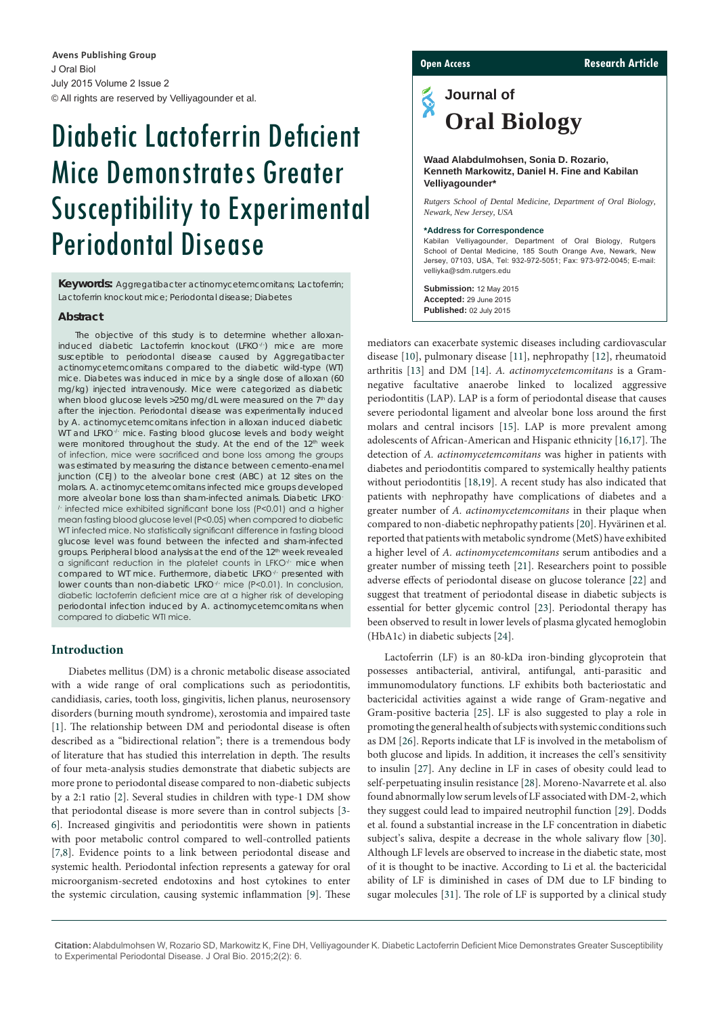J Oral Biol July 2015 Volume 2 Issue 2 © All rights are reserved by Velliyagounder et al. **Avens Publishing Group**

# Diabetic Lactoferrin Deficient Mice Demonstrates Greater Susceptibility to Experimental Periodontal Disease

**Keywords:** *Aggregatibacter actinomycetemcomitans*; Lactoferrin; Lactoferrin knockout mice; Periodontal disease; Diabetes

#### **Abstract**

The objective of this study is to determine whether alloxaninduced diabetic Lactoferrin knockout (LFKO-/) mice are more susceptible to periodontal disease caused by *Aggregatibacter actinomycetemcomitans* compared to the diabetic wild-type (WT) mice. Diabetes was induced in mice by a single dose of alloxan (60 mg/kg) injected intravenously. Mice were categorized as diabetic when blood glucose levels > 250 mg/dL were measured on the 7<sup>th</sup> day after the injection. Periodontal disease was experimentally induced by *A. actinomycetemcomitans* infection in alloxan induced diabetic WT and LFKO<sup>-/-</sup> mice. Fasting blood glucose levels and body weight were monitored throughout the study. At the end of the 12<sup>th</sup> week of infection, mice were sacrificed and bone loss among the groups was estimated by measuring the distance between cemento-enamel junction (CEJ) to the alveolar bone crest (ABC) at 12 sites on the molars. *A. actinomycetemcomitans* infected mice groups developed more alveolar bone loss than sham-infected animals. Diabetic LFKO- /- infected mice exhibited significant bone loss (P<0.01) and a higher mean fasting blood glucose level (P<0.05) when compared to diabetic WT infected mice. No statistically significant difference in fasting blood glucose level was found between the infected and sham-infected groups. Peripheral blood analysis at the end of the 12<sup>th</sup> week revealed a significant reduction in the platelet counts in LFKO<sup>-/-</sup> mice when compared to WT mice. Furthermore, diabetic LFKO-/- presented with lower counts than non-diabetic LFKO-/- mice (P<0.01). In conclusion, diabetic lactoferrin deficient mice are at a higher risk of developing periodontal infection induced by *A. actinomycetemcomitans* when compared to diabetic WTI mice.

#### **Introduction**

Diabetes mellitus (DM) is a chronic metabolic disease associated with a wide range of oral complications such as periodontitis, candidiasis, caries, tooth loss, gingivitis, lichen planus, neurosensory disorders (burning mouth syndrome), xerostomia and impaired taste [[1\]](1). The relationship between DM and periodontal disease is often described as a "bidirectional relation"; there is a tremendous body of literature that has studied this interrelation in depth. The results of four meta-analysis studies demonstrate that diabetic subjects are more prone to periodontal disease compared to non-diabetic subjects by a 2:1 ratio [\[2\]](#page-4-22). Several studies in children with type-1 DM show that periodontal disease is more severe than in control subjects [\[3](#page-4-23)- [6\]](#page-4-24). Increased gingivitis and periodontitis were shown in patients with poor metabolic control compared to well-controlled patients [[7,](#page-4-25)[8](#page-4-26)]. Evidence points to a link between periodontal disease and systemic health. Periodontal infection represents a gateway for oral microorganism-secreted endotoxins and host cytokines to enter the systemic circulation, causing systemic inflammation [\[9](#page-4-27)]. These

**Open Access Research Article** 

## Š **Journal of Oral Biology**

#### **Waad Alabdulmohsen, Sonia D. Rozario, Kenneth Markowitz, Daniel H. Fine and Kabilan Velliyagounder\***

*Rutgers School of Dental Medicine, Department of Oral Biology, Newark, New Jersey, USA* 

#### **\*Address for Correspondence**

Kabilan Velliyagounder, Department of Oral Biology, Rutgers School of Dental Medicine, 185 South Orange Ave, Newark, New Jersey, 07103, USA, Tel: 932-972-5051; Fax: 973-972-0045; E-mail: velliyka@sdm.rutgers.edu

**Submission:** 12 May 2015 **Accepted:** 29 June 2015 **Published:** 02 July 2015

mediators can exacerbate systemic diseases including cardiovascular disease [[10](#page-4-0)], pulmonary disease [\[11](#page-4-1)], nephropathy [[12\]](#page-4-2), rheumatoid arthritis [\[13\]](#page-4-3) and DM [[14](#page-4-4)]. *A. actinomycetemcomitans* is a Gramnegative facultative anaerobe linked to localized aggressive periodontitis (LAP). LAP is a form of periodontal disease that causes severe periodontal ligament and alveolar bone loss around the first molars and central incisors [[15\]](#page-4-5). LAP is more prevalent among adolescents of African-American and Hispanic ethnicity [[16](#page-4-6)[,17](#page-4-7)]. The detection of *A. actinomycetemcomitans* was higher in patients with diabetes and periodontitis compared to systemically healthy patients without periodontitis [[18,](#page-4-8)[19](#page-4-9)]. A recent study has also indicated that patients with nephropathy have complications of diabetes and a greater number of *A. actinomycetemcomitans* in their plaque when compared to non-diabetic nephropathy patients [[20](#page-4-10)]. Hyvärinen et al. reported that patients with metabolic syndrome (MetS) have exhibited a higher level of *A. actinomycetemcomitans* serum antibodies and a greater number of missing teeth [\[21\]](#page-4-11). Researchers point to possible adverse effects of periodontal disease on glucose tolerance [[22](#page-4-12)] and suggest that treatment of periodontal disease in diabetic subjects is essential for better glycemic control [\[23\]](#page-4-13). Periodontal therapy has been observed to result in lower levels of plasma glycated hemoglobin (HbA1c) in diabetic subjects [\[24](#page-4-14)].

Lactoferrin (LF) is an 80-kDa iron-binding glycoprotein that possesses antibacterial, antiviral, antifungal, anti-parasitic and immunomodulatory functions. LF exhibits both bacteriostatic and bactericidal activities against a wide range of Gram-negative and Gram-positive bacteria [[25](#page-4-15)]. LF is also suggested to play a role in promoting the general health of subjects with systemic conditions such as DM [[26](#page-4-16)]. Reports indicate that LF is involved in the metabolism of both glucose and lipids. In addition, it increases the cell's sensitivity to insulin [\[27\]](#page-4-17). Any decline in LF in cases of obesity could lead to self-perpetuating insulin resistance [[28](#page-4-18)]. Moreno-Navarrete et al. also found abnormally low serum levels of LF associated with DM-2, which they suggest could lead to impaired neutrophil function [[29](#page-4-19)]. Dodds et al. found a substantial increase in the LF concentration in diabetic subject's saliva, despite a decrease in the whole salivary flow [[30\]](#page-4-20). Although LF levels are observed to increase in the diabetic state, most of it is thought to be inactive. According to Li et al. the bactericidal ability of LF is diminished in cases of DM due to LF binding to sugar molecules [[31](#page-4-21)]. The role of LF is supported by a clinical study

**Citation:** Alabdulmohsen W, Rozario SD, Markowitz K, Fine DH, Velliyagounder K. Diabetic Lactoferrin Deficient Mice Demonstrates Greater Susceptibility to Experimental Periodontal Disease. J Oral Bio. 2015;2(2): 6.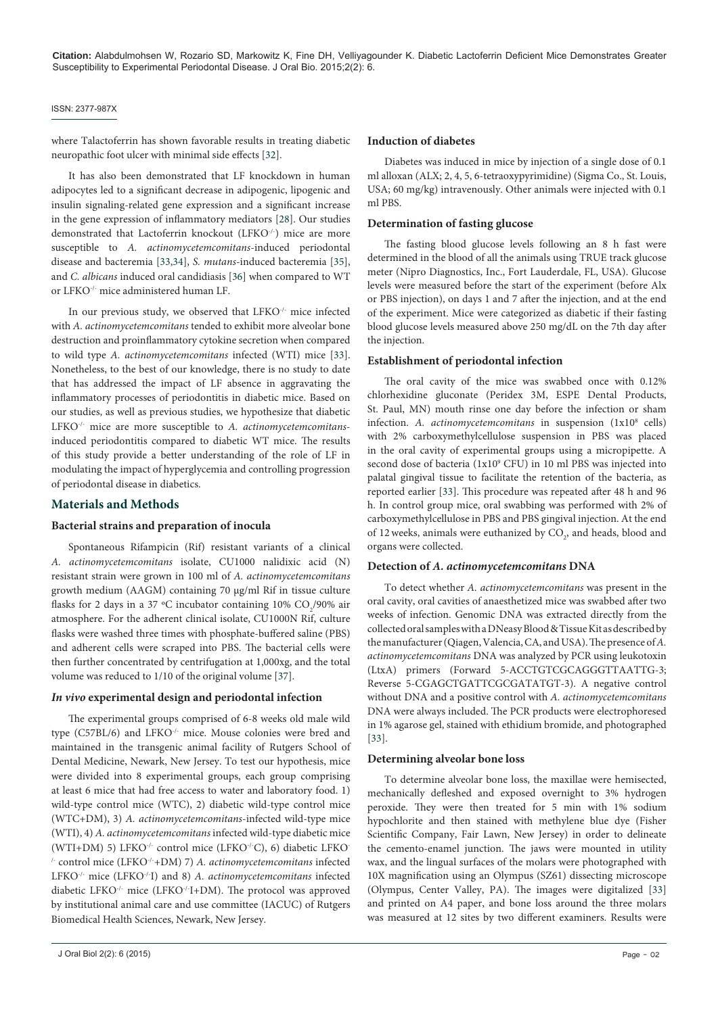#### ISSN: 2377-987X

where Talactoferrin has shown favorable results in treating diabetic neuropathic foot ulcer with minimal side effects [\[32\]](#page-5-0).

It has also been demonstrated that LF knockdown in human adipocytes led to a significant decrease in adipogenic, lipogenic and insulin signaling-related gene expression and a significant increase in the gene expression of inflammatory mediators [\[28](#page-4-18)]. Our studies demonstrated that Lactoferrin knockout (LFKO-/-) mice are more susceptible to *A. actinomycetemcomitans*-induced periodontal disease and bacteremia [[33](#page-5-1)[,34\]](#page-5-2), *S. mutans*-induced bacteremia [[35](#page-5-3)], and *C. albicans* induced oral candidiasis [[36](#page-5-4)] when compared to WT or LFKO-/- mice administered human LF.

In our previous study, we observed that LFKO<sup>-/-</sup> mice infected with *A. actinomycetemcomitans* tended to exhibit more alveolar bone destruction and proinflammatory cytokine secretion when compared to wild type *A. actinomycetemcomitans* infected (WTI) mice [[33](#page-5-1)]. Nonetheless, to the best of our knowledge, there is no study to date that has addressed the impact of LF absence in aggravating the inflammatory processes of periodontitis in diabetic mice. Based on our studies, as well as previous studies, we hypothesize that diabetic LFKO-/- mice are more susceptible to *A. actinomycetemcomitans*induced periodontitis compared to diabetic WT mice. The results of this study provide a better understanding of the role of LF in modulating the impact of hyperglycemia and controlling progression of periodontal disease in diabetics.

#### **Materials and Methods**

#### **Bacterial strains and preparation of inocula**

Spontaneous Rifampicin (Rif) resistant variants of a clinical *A. actinomycetemcomitans* isolate, CU1000 nalidixic acid (N) resistant strain were grown in 100 ml of *A. actinomycetemcomitans* growth medium (AAGM) containing 70 µg/ml Rif in tissue culture flasks for 2 days in a 37 °C incubator containing 10%  $\rm CO_2/90\%$  air atmosphere. For the adherent clinical isolate, CU1000N Rif, culture flasks were washed three times with phosphate-buffered saline (PBS) and adherent cells were scraped into PBS. The bacterial cells were then further concentrated by centrifugation at 1,000xg, and the total volume was reduced to 1/10 of the original volume [[37](#page-5-5)].

#### *In vivo* **experimental design and periodontal infection**

The experimental groups comprised of 6-8 weeks old male wild type (C57BL/6) and LFKO-/- mice. Mouse colonies were bred and maintained in the transgenic animal facility of Rutgers School of Dental Medicine, Newark, New Jersey. To test our hypothesis, mice were divided into 8 experimental groups, each group comprising at least 6 mice that had free access to water and laboratory food. 1) wild-type control mice (WTC), 2) diabetic wild-type control mice (WTC+DM), 3) *A. actinomycetemcomitans*-infected wild-type mice (WTI), 4) *A. actinomycetemcomitans* infected wild-type diabetic mice (WTI+DM) 5) LFKO-/- control mice (LFKO-/-C), 6) diabetic LFKO- /- control mice (LFKO-/-+DM) 7) *A. actinomycetemcomitans* infected LFKO-/- mice (LFKO-/-I) and 8) *A. actinomycetemcomitans* infected diabetic LFKO-/- mice (LFKO-/-I+DM). The protocol was approved by institutional animal care and use committee (IACUC) of Rutgers Biomedical Health Sciences, Newark, New Jersey.

Diabetes was induced in mice by injection of a single dose of 0.1 ml alloxan (ALX; 2, 4, 5, 6-tetraoxypyrimidine) (Sigma Co., St. Louis, USA; 60 mg/kg) intravenously. Other animals were injected with 0.1 ml PBS.

#### **Determination of fasting glucose**

The fasting blood glucose levels following an 8 h fast were determined in the blood of all the animals using TRUE track glucose meter (Nipro Diagnostics, Inc., Fort Lauderdale, FL, USA). Glucose levels were measured before the start of the experiment (before Alx or PBS injection), on days 1 and 7 after the injection, and at the end of the experiment. Mice were categorized as diabetic if their fasting blood glucose levels measured above 250 mg/dL on the 7th day after the injection.

#### **Establishment of periodontal infection**

The oral cavity of the mice was swabbed once with 0.12% chlorhexidine gluconate (Peridex 3M, ESPE Dental Products, St. Paul, MN) mouth rinse one day before the infection or sham infection. A. actinomycetemcomitans in suspension (1x10<sup>8</sup> cells) with 2% carboxymethylcellulose suspension in PBS was placed in the oral cavity of experimental groups using a micropipette. A second dose of bacteria (1x10<sup>9</sup> CFU) in 10 ml PBS was injected into palatal gingival tissue to facilitate the retention of the bacteria, as reported earlier [\[33\]](#page-5-1). This procedure was repeated after 48 h and 96 h. In control group mice, oral swabbing was performed with 2% of carboxymethylcellulose in PBS and PBS gingival injection. At the end of 12 weeks, animals were euthanized by  $CO<sub>2</sub>$ , and heads, blood and organs were collected.

#### **Detection of** *A. actinomycetemcomitans* **DNA**

To detect whether *A. actinomycetemcomitans* was present in the oral cavity, oral cavities of anaesthetized mice was swabbed after two weeks of infection. Genomic DNA was extracted directly from the collected oral samples with a DNeasy Blood & Tissue Kit as described by the manufacturer (Qiagen, Valencia, CA, and USA). The presence of *A. actinomycetemcomitans* DNA was analyzed by PCR using leukotoxin (LtxA) primers (Forward 5-ACCTGTCGCAGGGTTAATTG-3; Reverse 5-CGAGCTGATTCGCGATATGT-3). A negative control without DNA and a positive control with *A. actinomycetemcomitans* DNA were always included. The PCR products were electrophoresed in 1% agarose gel, stained with ethidium bromide, and photographed [[33](#page-5-1)].

#### **Determining alveolar bone loss**

To determine alveolar bone loss, the maxillae were hemisected, mechanically defleshed and exposed overnight to 3% hydrogen peroxide. They were then treated for 5 min with 1% sodium hypochlorite and then stained with methylene blue dye (Fisher Scientific Company, Fair Lawn, New Jersey) in order to delineate the cemento-enamel junction. The jaws were mounted in utility wax, and the lingual surfaces of the molars were photographed with 10X magnification using an Olympus (SZ61) dissecting microscope (Olympus, Center Valley, PA). The images were digitalized [\[33\]](#page-5-1) and printed on A4 paper, and bone loss around the three molars was measured at 12 sites by two different examiners. Results were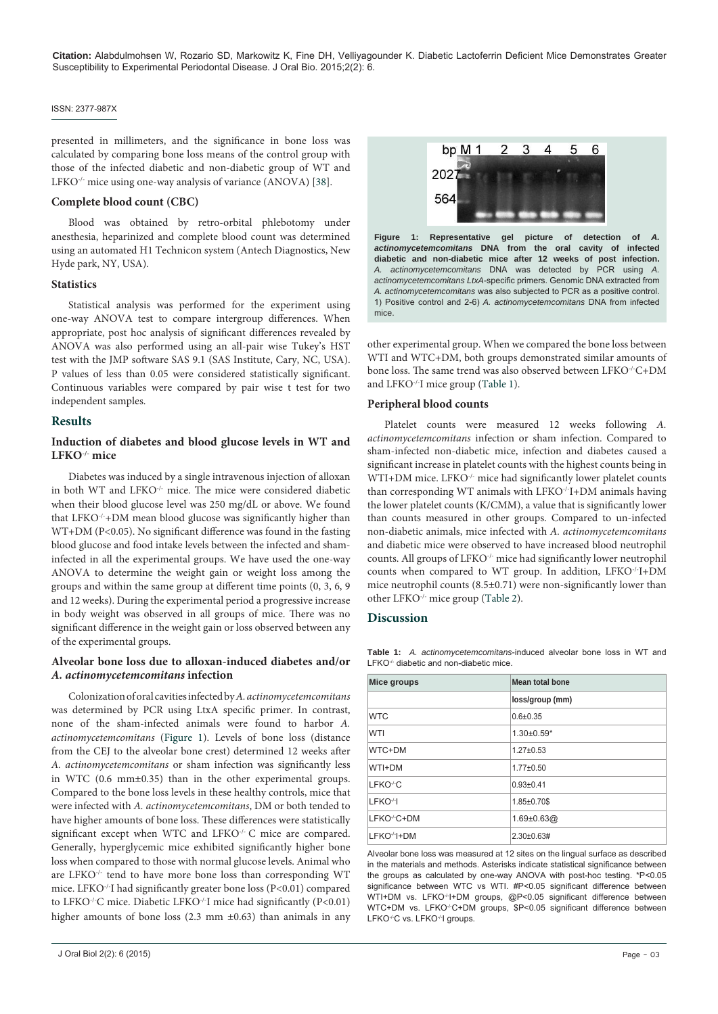#### ISSN: 2377-987X

presented in millimeters, and the significance in bone loss was calculated by comparing bone loss means of the control group with those of the infected diabetic and non-diabetic group of WT and LFKO<sup>-/-</sup> mice using one-way analysis of variance (ANOVA) [[38\]](#page-5-6).

#### **Complete blood count (CBC)**

Blood was obtained by retro-orbital phlebotomy under anesthesia, heparinized and complete blood count was determined using an automated H1 Technicon system (Antech Diagnostics, New Hyde park, NY, USA).

#### **Statistics**

Statistical analysis was performed for the experiment using one-way ANOVA test to compare intergroup differences. When appropriate, post hoc analysis of significant differences revealed by ANOVA was also performed using an all-pair wise Tukey's HST test with the JMP software SAS 9.1 (SAS Institute, Cary, NC, USA). P values of less than 0.05 were considered statistically significant. Continuous variables were compared by pair wise t test for two independent samples.

#### **Results**

#### **Induction of diabetes and blood glucose levels in WT and LFKO-/- mice**

Diabetes was induced by a single intravenous injection of alloxan in both WT and LFKO<sup>-/-</sup> mice. The mice were considered diabetic when their blood glucose level was 250 mg/dL or above. We found that LFKO<sup>-/-</sup>+DM mean blood glucose was significantly higher than WT+DM (P<0.05). No significant difference was found in the fasting blood glucose and food intake levels between the infected and shaminfected in all the experimental groups. We have used the one-way ANOVA to determine the weight gain or weight loss among the groups and within the same group at different time points (0, 3, 6, 9 and 12 weeks). During the experimental period a progressive increase in body weight was observed in all groups of mice. There was no significant difference in the weight gain or loss observed between any of the experimental groups.

#### **Alveolar bone loss due to alloxan-induced diabetes and/or**  *A. actinomycetemcomitans* **infection**

Colonization of oral cavities infected by *A. actinomycetemcomitans* was determined by PCR using LtxA specific primer. In contrast, none of the sham-infected animals were found to harbor *A. actinomycetemcomitans* [\(Figure 1](#page-2-0)). Levels of bone loss (distance from the CEJ to the alveolar bone crest) determined 12 weeks after *A. actinomycetemcomitans* or sham infection was significantly less in WTC (0.6 mm±0.35) than in the other experimental groups. Compared to the bone loss levels in these healthy controls, mice that were infected with *A. actinomycetemcomitans*, DM or both tended to have higher amounts of bone loss. These differences were statistically significant except when WTC and LFKO<sup>-/-</sup> C mice are compared. Generally, hyperglycemic mice exhibited significantly higher bone loss when compared to those with normal glucose levels. Animal who are LFKO<sup>-/-</sup> tend to have more bone loss than corresponding WT mice. LFKO-/-I had significantly greater bone loss (P<0.01) compared to LFKO<sup>-/-</sup>C mice. Diabetic LFKO<sup>-/-</sup>I mice had significantly (P<0.01) higher amounts of bone loss (2.3 mm  $\pm$ 0.63) than animals in any

<span id="page-2-0"></span>

**Figure 1: Representative gel picture of detection of** *A. actinomycetemcomitans* **DNA from the oral cavity of infected diabetic and non-diabetic mice after 12 weeks of post infection.** *A. actinomycetemcomitans* DNA was detected by PCR using *A. actinomycetemcomitans LtxA*-specific primers. Genomic DNA extracted from *A. actinomycetemcomitans* was also subjected to PCR as a positive control. 1) Positive control and 2-6) *A. actinomycetemcomitans* DNA from infected mice.

other experimental group. When we compared the bone loss between WTI and WTC+DM, both groups demonstrated similar amounts of bone loss. The same trend was also observed between LFKO<sup>-/-</sup>C+DM and LFKO-/-I mice group ([Table 1](#page-2-1)).

#### **Peripheral blood counts**

Platelet counts were measured 12 weeks following *A. actinomycetemcomitans* infection or sham infection. Compared to sham-infected non-diabetic mice, infection and diabetes caused a significant increase in platelet counts with the highest counts being in WTI+DM mice. LFKO-/- mice had significantly lower platelet counts than corresponding WT animals with LFKO<sup>-/-</sup>I+DM animals having the lower platelet counts (K/CMM), a value that is significantly lower than counts measured in other groups. Compared to un-infected non-diabetic animals, mice infected with *A. actinomycetemcomitans* and diabetic mice were observed to have increased blood neutrophil counts. All groups of LFKO-/- mice had significantly lower neutrophil counts when compared to WT group. In addition, LFKO-/-I+DM mice neutrophil counts (8.5±0.71) were non-significantly lower than other LFKO-/- mice group [\(Table 2\)](#page-3-0).

#### **Discussion**

<span id="page-2-1"></span>**Table 1:** *A. actinomycetemcomitans*-induced alveolar bone loss in WT and LFKO<sup>-/-</sup> diabetic and non-diabetic mice.

| Mice groups              | Mean total bone    |  |
|--------------------------|--------------------|--|
|                          | loss/group (mm)    |  |
| <b>WTC</b>               | $0.6 + 0.35$       |  |
| <b>WTI</b>               | $1.30\pm0.59*$     |  |
| WTC+DM                   | $1.27 \pm 0.53$    |  |
| WTI+DM                   | $1.77 \pm 0.50$    |  |
| LFKO <sup>-/-</sup> C    | $0.93 + 0.41$      |  |
| LFKO-H                   | 1.85±0.70\$        |  |
| LFKO <sup>-/-</sup> C+DM | $1.69 \pm 0.63$ @  |  |
| LFKO <sup>-/-</sup> I+DM | $2.30 \pm 0.63 \#$ |  |

Alveolar bone loss was measured at 12 sites on the lingual surface as described in the materials and methods. Asterisks indicate statistical significance between the groups as calculated by one-way ANOVA with post-hoc testing. \*P<0.05 significance between WTC vs WTI. #P<0.05 significant difference between WTI+DM vs. LFKO<sup>-/-</sup>I+DM groups, @P<0.05 significant difference between WTC+DM vs. LFKO<sup>-/-</sup>C+DM groups, \$P<0.05 significant difference between LFKO-/-C vs. LFKO-/-I groups.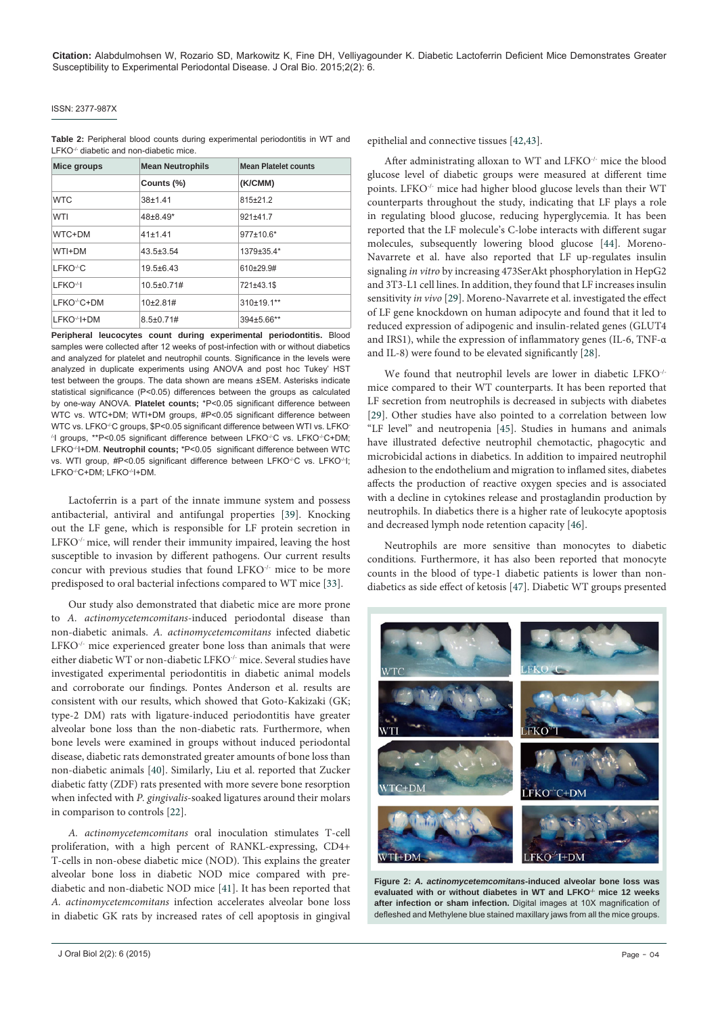#### ISSN: 2377-987X

<span id="page-3-0"></span>**Table 2:** Peripheral blood counts during experimental periodontitis in WT and LFKO<sup>-/-</sup> diabetic and non-diabetic mice.

| Mice groups              | <b>Mean Neutrophils</b> | <b>Mean Platelet counts</b> |
|--------------------------|-------------------------|-----------------------------|
|                          | Counts (%)              | (K/CMM)                     |
| <b>WTC</b>               | $38 + 1.41$             | 815±21.2                    |
| WTI                      | $48+8.49*$              | 921±41.7                    |
| WTC+DM                   | 41±1.41                 | 977±10.6*                   |
| WTI+DM                   | $43.5 \pm 3.54$         | 1379±35.4*                  |
| LFKO <sup>-/-</sup> C    | $19.5 + 6.43$           | 610±29.9#                   |
| LFKO-H                   | $10.5 \pm 0.71 \#$      | 721±43.1\$                  |
| LFKO <sup>-/-</sup> C+DM | $10+2.81#$              | $310+19.1***$               |
| LFKO <sup>-/-</sup> I+DM | $8.5 \pm 0.71 \#$       | 394±5.66**                  |

**Peripheral leucocytes count during experimental periodontitis.** Blood samples were collected after 12 weeks of post-infection with or without diabetics and analyzed for platelet and neutrophil counts. Significance in the levels were analyzed in duplicate experiments using ANOVA and post hoc Tukey' HST test between the groups. The data shown are means ±SEM. Asterisks indicate statistical significance (P<0.05) differences between the groups as calculated by one-way ANOVA. **Platelet counts;** \*P<0.05 significant difference between WTC vs. WTC+DM; WTI+DM groups, #P<0.05 significant difference between WTC vs. LFKO<sup>-/-</sup>C groups, \$P<0.05 significant difference between WTI vs. LFKO-<sup>1-</sup>I groups, \*\*P<0.05 significant difference between LFKO<sup>-/-</sup>C vs. LFKO<sup>-/-</sup>C+DM; LFKO<sup>-/</sup>I+DM. **Neutrophil counts;** \*P<0.05 significant difference between WTC vs. WTI group, #P<0.05 significant difference between LFKO<sup>-/-</sup>C vs. LFKO<sup>-/-</sup>I; LFKO-/-C+DM; LFKO-/-I+DM.

Lactoferrin is a part of the innate immune system and possess antibacterial, antiviral and antifungal properties [\[39\]](#page-5-7). Knocking out the LF gene, which is responsible for LF protein secretion in LFKO<sup>-/-</sup> mice, will render their immunity impaired, leaving the host susceptible to invasion by different pathogens. Our current results concur with previous studies that found LFKO-/- mice to be more predisposed to oral bacterial infections compared to WT mice [[33\]](#page-5-1).

Our study also demonstrated that diabetic mice are more prone to *A. actinomycetemcomitans*-induced periodontal disease than non-diabetic animals. *A. actinomycetemcomitans* infected diabetic LFKO-/- mice experienced greater bone loss than animals that were either diabetic WT or non-diabetic LFKO-/- mice. Several studies have investigated experimental periodontitis in diabetic animal models and corroborate our findings. Pontes Anderson et al. results are consistent with our results, which showed that Goto-Kakizaki (GK; type-2 DM) rats with ligature-induced periodontitis have greater alveolar bone loss than the non-diabetic rats. Furthermore, when bone levels were examined in groups without induced periodontal disease, diabetic rats demonstrated greater amounts of bone loss than non-diabetic animals [\[40\]](#page-5-8). Similarly, Liu et al. reported that Zucker diabetic fatty (ZDF) rats presented with more severe bone resorption when infected with *P. gingivalis*-soaked ligatures around their molars in comparison to controls [\[22\]](#page-4-12).

*A. actinomycetemcomitans* oral inoculation stimulates T-cell proliferation, with a high percent of RANKL-expressing, CD4+ T-cells in non-obese diabetic mice (NOD). This explains the greater alveolar bone loss in diabetic NOD mice compared with prediabetic and non-diabetic NOD mice [[41](#page-5-9)]. It has been reported that *A. actinomycetemcomitans* infection accelerates alveolar bone loss in diabetic GK rats by increased rates of cell apoptosis in gingival epithelial and connective tissues [[42](#page-5-10)[,43\]](#page-5-11).

After administrating alloxan to WT and LFKO<sup>-/-</sup> mice the blood glucose level of diabetic groups were measured at different time points. LFKO-/- mice had higher blood glucose levels than their WT counterparts throughout the study, indicating that LF plays a role in regulating blood glucose, reducing hyperglycemia. It has been reported that the LF molecule's C-lobe interacts with different sugar molecules, subsequently lowering blood glucose [[44](#page-5-12)]. Moreno-Navarrete et al. have also reported that LF up-regulates insulin signaling *in vitro* by increasing 473SerAkt phosphorylation in HepG2 and 3T3-L1 cell lines. In addition, they found that LF increases insulin sensitivity *in vivo* [\[29](#page-4-19)]. Moreno-Navarrete et al. investigated the effect of LF gene knockdown on human adipocyte and found that it led to reduced expression of adipogenic and insulin-related genes (GLUT4 and IRS1), while the expression of inflammatory genes (IL-6, TNF-α and IL-8) were found to be elevated significantly [\[28\]](#page-4-18).

We found that neutrophil levels are lower in diabetic LFKO-/ mice compared to their WT counterparts. It has been reported that LF secretion from neutrophils is decreased in subjects with diabetes [[29](#page-4-19)]. Other studies have also pointed to a correlation between low "LF level" and neutropenia [[45](#page-5-13)]. Studies in humans and animals have illustrated defective neutrophil chemotactic, phagocytic and microbicidal actions in diabetics. In addition to impaired neutrophil adhesion to the endothelium and migration to inflamed sites, diabetes affects the production of reactive oxygen species and is associated with a decline in cytokines release and prostaglandin production by neutrophils. In diabetics there is a higher rate of leukocyte apoptosis and decreased lymph node retention capacity [\[46\]](#page-5-14).

Neutrophils are more sensitive than monocytes to diabetic conditions. Furthermore, it has also been reported that monocyte counts in the blood of type-1 diabetic patients is lower than nondiabetics as side effect of ketosis [\[47](#page-5-15)]. Diabetic WT groups presented



**Figure 2:** *A. actinomycetemcomitans***-induced alveolar bone loss was**  evaluated with or without diabetes in WT and LFKO<sup>+</sup> mice 12 weeks **after infection or sham infection.** Digital images at 10X magnification of defleshed and Methylene blue stained maxillary jaws from all the mice groups.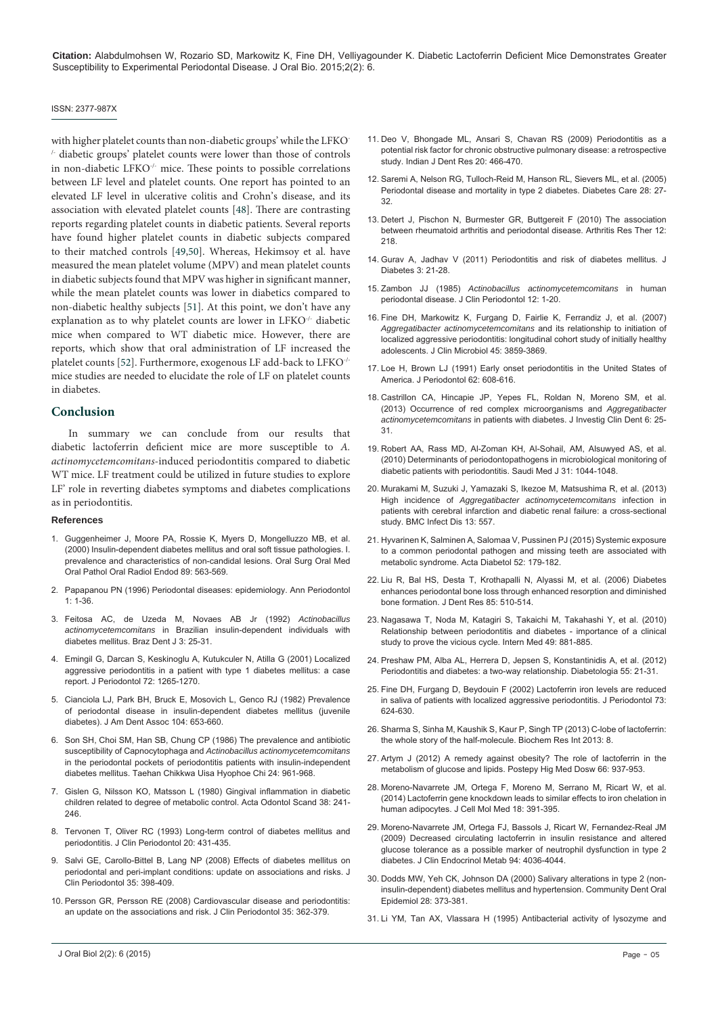#### ISSN: 2377-987X

with higher platelet counts than non-diabetic groups' while the LFKO- /- diabetic groups' platelet counts were lower than those of controls in non-diabetic LFKO-/- mice. These points to possible correlations between LF level and platelet counts. One report has pointed to an elevated LF level in ulcerative colitis and Crohn's disease, and its association with elevated platelet counts [[48](#page-5-16)]. There are contrasting reports regarding platelet counts in diabetic patients. Several reports have found higher platelet counts in diabetic subjects compared to their matched controls [\[49](#page-5-17)[,50\]](#page-5-18). Whereas, Hekimsoy et al. have measured the mean platelet volume (MPV) and mean platelet counts in diabetic subjects found that MPV was higher in significant manner, while the mean platelet counts was lower in diabetics compared to non-diabetic healthy subjects [\[51\]](#page-5-19). At this point, we don't have any explanation as to why platelet counts are lower in LFKO-/- diabetic mice when compared to WT diabetic mice. However, there are reports, which show that oral administration of LF increased the platelet counts [[52\]](#page-5-20). Furthermore, exogenous LF add-back to LFKO-/ mice studies are needed to elucidate the role of LF on platelet counts in diabetes.

#### **Conclusion**

In summary we can conclude from our results that diabetic lactoferrin deficient mice are more susceptible to *A. actinomycetemcomitans*-induced periodontitis compared to diabetic WT mice. LF treatment could be utilized in future studies to explore LF' role in reverting diabetes symptoms and diabetes complications as in periodontitis.

#### **References**

- 1. [Guggenheimer J, Moore PA, Rossie K, Myers D, Mongelluzzo MB, et al.](http://www.ncbi.nlm.nih.gov/pubmed/10807712)  [\(2000\) Insulin-dependent diabetes mellitus and oral soft tissue pathologies. I.](http://www.ncbi.nlm.nih.gov/pubmed/10807712)  [prevalence and characteristics of non-candidal lesions. Oral Surg Oral Med](http://www.ncbi.nlm.nih.gov/pubmed/10807712)  [Oral Pathol Oral Radiol Endod 89: 563-569.](http://www.ncbi.nlm.nih.gov/pubmed/10807712)
- <span id="page-4-22"></span>2. [Papapanou PN \(1996\) Periodontal diseases: epidemiology. Ann Periodontol](http://www.ncbi.nlm.nih.gov/pubmed/9118256)  [1: 1-36.](http://www.ncbi.nlm.nih.gov/pubmed/9118256)
- <span id="page-4-23"></span>3. [Feitosa AC, de Uzeda M, Novaes AB Jr \(1992\)](http://www.ncbi.nlm.nih.gov/pubmed/1303114) *Actinobacillus actinomycetemcomitans* [in Brazilian insulin-dependent individuals with](http://www.ncbi.nlm.nih.gov/pubmed/1303114)  [diabetes mellitus. Braz Dent J 3: 25-31.](http://www.ncbi.nlm.nih.gov/pubmed/1303114)
- 4. [Emingil G, Darcan S, Keskinoglu A, Kutukculer N, Atilla G \(2001\) Localized](http://www.ncbi.nlm.nih.gov/pubmed/11577961)  [aggressive periodontitis in a patient with type 1 diabetes mellitus: a case](http://www.ncbi.nlm.nih.gov/pubmed/11577961)  [report. J Periodontol 72: 1265-1270.](http://www.ncbi.nlm.nih.gov/pubmed/11577961)
- 5. [Cianciola LJ, Park BH, Bruck E, Mosovich L, Genco RJ \(1982\) Prevalence](http://www.ncbi.nlm.nih.gov/pubmed/7042797)  [of periodontal disease in insulin-dependent diabetes mellitus \(juvenile](http://www.ncbi.nlm.nih.gov/pubmed/7042797)  [diabetes\). J Am Dent Assoc 104: 653-660](http://www.ncbi.nlm.nih.gov/pubmed/7042797).
- <span id="page-4-24"></span>6. [Son SH, Choi SM, Han SB, Chung CP \(1986\) The prevalence and antibiotic](http://www.ncbi.nlm.nih.gov/pubmed/3474309)  susceptibility of Capnocytophaga and *[Actinobacillus actinomycetemcomitans](http://www.ncbi.nlm.nih.gov/pubmed/3474309)* [in the periodontal pockets of periodontitis patients with insulin-independent](http://www.ncbi.nlm.nih.gov/pubmed/3474309)  [diabetes mellitus. Taehan Chikkwa Uisa Hyophoe Chi 24: 961-968](http://www.ncbi.nlm.nih.gov/pubmed/3474309).
- <span id="page-4-25"></span>7. [Gislen G, Nilsson KO, Matsson L \(1980\) Gingival inflammation in diabetic](http://www.ncbi.nlm.nih.gov/pubmed/6937090)  [children related to degree of metabolic control. Acta Odontol Scand 38: 241-](http://www.ncbi.nlm.nih.gov/pubmed/6937090) [246.](http://www.ncbi.nlm.nih.gov/pubmed/6937090)
- <span id="page-4-26"></span>8. [Tervonen T, Oliver RC \(1993\) Long-term control of diabetes mellitus and](http://www.ncbi.nlm.nih.gov/pubmed/8349834)  [periodontitis. J Clin Periodontol 20: 431-435.](http://www.ncbi.nlm.nih.gov/pubmed/8349834)
- <span id="page-4-27"></span>9. [Salvi GE, Carollo-Bittel B, Lang NP \(2008\) Effects of diabetes mellitus on](http://www.ncbi.nlm.nih.gov/pubmed/18724865)  [periodontal and peri-implant conditions: update on associations and risks. J](http://www.ncbi.nlm.nih.gov/pubmed/18724865)  [Clin Periodontol 35: 398-409.](http://www.ncbi.nlm.nih.gov/pubmed/18724865)
- <span id="page-4-0"></span>10. [Persson GR, Persson RE \(2008\) Cardiovascular disease and periodontitis:](http://www.ncbi.nlm.nih.gov/pubmed/18724863)  [an update on the associations and risk. J Clin Periodontol 35: 362-379.](http://www.ncbi.nlm.nih.gov/pubmed/18724863)
- <span id="page-4-1"></span>11. [Deo V, Bhongade ML, Ansari S, Chavan RS \(2009\) Periodontitis as a](http://www.ncbi.nlm.nih.gov/pubmed/20139573)  [potential risk factor for chronic obstructive pulmonary disease: a retrospective](http://www.ncbi.nlm.nih.gov/pubmed/20139573)  [study. Indian J Dent Res 20: 466-470.](http://www.ncbi.nlm.nih.gov/pubmed/20139573)
- <span id="page-4-2"></span>12. [Saremi A, Nelson RG, Tulloch-Reid M, Hanson RL, Sievers ML, et al. \(2005\)](http://www.ncbi.nlm.nih.gov/pubmed/15616229)  [Periodontal disease and mortality in type 2 diabetes. Diabetes Care 28: 27-](http://www.ncbi.nlm.nih.gov/pubmed/15616229) [32.](http://www.ncbi.nlm.nih.gov/pubmed/15616229)
- <span id="page-4-3"></span>13. [Detert J, Pischon N, Burmester GR, Buttgereit F \(2010\) The association](http://www.ncbi.nlm.nih.gov/pubmed/21062513)  [between rheumatoid arthritis and periodontal disease. Arthritis Res Ther 12:](http://www.ncbi.nlm.nih.gov/pubmed/21062513)  [218.](http://www.ncbi.nlm.nih.gov/pubmed/21062513)
- <span id="page-4-4"></span>14. [Gurav A, Jadhav V \(2011\) Periodontitis and risk of diabetes mellitus. J](http://www.ncbi.nlm.nih.gov/pubmed/20923503)  [Diabetes 3: 21-28.](http://www.ncbi.nlm.nih.gov/pubmed/20923503)
- <span id="page-4-5"></span>15. Zambon JJ (1985) *[Actinobacillus actinomycetemcomitans](http://www.ncbi.nlm.nih.gov/pubmed/3882766)* in human [periodontal disease. J Clin Periodontol 12: 1-20.](http://www.ncbi.nlm.nih.gov/pubmed/3882766)
- <span id="page-4-6"></span>16. [Fine DH, Markowitz K, Furgang D, Fairlie K, Ferrandiz J, et al. \(2007\)](http://www.ncbi.nlm.nih.gov/pmc/articles/PMC2168549/)  *[Aggregatibacter actinomycetemcomitans](http://www.ncbi.nlm.nih.gov/pmc/articles/PMC2168549/)* and its relationship to initiation of [localized aggressive periodontitis: longitudinal cohort study of initially healthy](http://www.ncbi.nlm.nih.gov/pmc/articles/PMC2168549/)  [adolescents. J Clin Microbiol 45: 3859-3869.](http://www.ncbi.nlm.nih.gov/pmc/articles/PMC2168549/)
- <span id="page-4-7"></span>17. [Loe H, Brown LJ \(1991\) Early onset periodontitis in the United States of](http://www.ncbi.nlm.nih.gov/pubmed/1770420)  [America. J Periodontol 62: 608-616.](http://www.ncbi.nlm.nih.gov/pubmed/1770420)
- <span id="page-4-8"></span>18. [Castrillon CA, Hincapie JP, Yepes FL, Roldan N, Moreno SM, et al.](http://www.ncbi.nlm.nih.gov/pubmed/23857867)  [\(2013\) Occurrence of red complex microorganisms and](http://www.ncbi.nlm.nih.gov/pubmed/23857867) *Aggregatibacter actinomycetemcomitans* [in patients with diabetes. J Investig Clin Dent 6: 25-](http://www.ncbi.nlm.nih.gov/pubmed/23857867) [31.](http://www.ncbi.nlm.nih.gov/pubmed/23857867)
- <span id="page-4-9"></span>19. [Robert AA, Rass MD, Al-Zoman KH, Al-Sohail, AM, Alsuwyed AS, et al.](http://www.ncbi.nlm.nih.gov/pubmed/20844819)  [\(2010\) Determinants of periodontopathogens in microbiological monitoring of](http://www.ncbi.nlm.nih.gov/pubmed/20844819)  [diabetic patients with periodontitis. Saudi Med J 31: 1044-1048.](http://www.ncbi.nlm.nih.gov/pubmed/20844819)
- <span id="page-4-10"></span>20. [Murakami M, Suzuki J, Yamazaki S, Ikezoe M, Matsushima R, et al. \(2013\)](http://link.springer.com/article/10.1186%2F1471-2334-13-557)  High incidence of *[Aggregatibacter actinomycetemcomitans](http://link.springer.com/article/10.1186%2F1471-2334-13-557)* infection in [patients with cerebral infarction and diabetic renal failure: a cross-sectional](http://link.springer.com/article/10.1186%2F1471-2334-13-557)  [study. BMC Infect Dis 13: 557.](http://link.springer.com/article/10.1186%2F1471-2334-13-557)
- <span id="page-4-11"></span>21. [Hyvarinen K, Salminen A, Salomaa V, Pussinen PJ \(2015\) Systemic exposure](http://www.ncbi.nlm.nih.gov/pubmed/24791962)  [to a common periodontal pathogen and missing teeth are associated with](http://www.ncbi.nlm.nih.gov/pubmed/24791962)  [metabolic syndrome. Acta Diabetol 52: 179-182.](http://www.ncbi.nlm.nih.gov/pubmed/24791962)
- <span id="page-4-12"></span>22. [Liu R, Bal HS, Desta T, Krothapalli N, Alyassi M, et al. \(2006\) Diabetes](http://www.ncbi.nlm.nih.gov/pubmed/16723646)  [enhances periodontal bone loss through enhanced resorption and diminished](http://www.ncbi.nlm.nih.gov/pubmed/16723646)  [bone formation. J Dent Res 85: 510-514.](http://www.ncbi.nlm.nih.gov/pubmed/16723646)
- <span id="page-4-13"></span>23. [Nagasawa T, Noda M, Katagiri S, Takaichi M, Takahashi Y, et al. \(2010\)](http://www.ncbi.nlm.nih.gov/pubmed/20467171)  [Relationship between periodontitis and diabetes - importance of a clinical](http://www.ncbi.nlm.nih.gov/pubmed/20467171)  [study to prove the vicious cycle. Intern Med 49: 881-885.](http://www.ncbi.nlm.nih.gov/pubmed/20467171)
- <span id="page-4-14"></span>24. [Preshaw PM, Alba AL, Herrera D, Jepsen S, Konstantinidis A, et al. \(2012\)](http://www.ncbi.nlm.nih.gov/pubmed/22057194)  [Periodontitis and diabetes: a two-way relationship. Diabetologia 55: 21-31.](http://www.ncbi.nlm.nih.gov/pubmed/22057194)
- <span id="page-4-15"></span>25. [Fine DH, Furgang D, Beydouin F \(2002\) Lactoferrin iron levels are reduced](http://www.ncbi.nlm.nih.gov/pubmed/12083535)  [in saliva of patients with localized aggressive periodontitis. J Periodontol 73:](http://www.ncbi.nlm.nih.gov/pubmed/12083535)  [624-630.](http://www.ncbi.nlm.nih.gov/pubmed/12083535)
- <span id="page-4-16"></span>26. [Sharma S, Sinha M, Kaushik S, Kaur P, Singh TP \(2013\) C-lobe of lactoferrin:](http://www.hindawi.com/journals/bri/2013/271641/)  [the whole story of the half-molecule. Biochem Res Int 2013: 8.](http://www.hindawi.com/journals/bri/2013/271641/)
- <span id="page-4-17"></span>27. [Artym J \(2012\) A remedy against obesity? The role of lactoferrin in the](http://www.ncbi.nlm.nih.gov/pubmed/23175349)  [metabolism of glucose and lipids. Postepy Hig Med Dosw 66: 937-953.](http://www.ncbi.nlm.nih.gov/pubmed/23175349)
- <span id="page-4-18"></span>28. [Moreno-Navarrete JM, Ortega F, Moreno M, Serrano M, Ricart W, et al.](http://www.ncbi.nlm.nih.gov/pubmed/24571258)  [\(2014\) Lactoferrin gene knockdown leads to similar effects to iron chelation in](http://www.ncbi.nlm.nih.gov/pubmed/24571258)  [human adipocytes. J Cell Mol Med 18: 391-395.](http://www.ncbi.nlm.nih.gov/pubmed/24571258)
- <span id="page-4-19"></span>29. [Moreno-Navarrete JM, Ortega FJ, Bassols J, Ricart W, Fernandez-Real JM](http://www.ncbi.nlm.nih.gov/pubmed/19584176)  [\(2009\) Decreased circulating lactoferrin in insulin resistance and altered](http://www.ncbi.nlm.nih.gov/pubmed/19584176)  [glucose tolerance as a possible marker of neutrophil dysfunction in type 2](http://www.ncbi.nlm.nih.gov/pubmed/19584176)  [diabetes. J Clin Endocrinol Metab 94: 4036-4044.](http://www.ncbi.nlm.nih.gov/pubmed/19584176)
- <span id="page-4-20"></span>30. [Dodds MW, Yeh CK, Johnson DA \(2000\) Salivary alterations in type 2 \(non](http://www.ncbi.nlm.nih.gov/pubmed/11014514)[insulin-dependent\) diabetes mellitus and hypertension. Community Dent Oral](http://www.ncbi.nlm.nih.gov/pubmed/11014514)  [Epidemiol 28: 373-381.](http://www.ncbi.nlm.nih.gov/pubmed/11014514)
- <span id="page-4-21"></span>31. [Li YM, Tan AX, Vlassara H \(1995\) Antibacterial activity of lysozyme and](http://www.ncbi.nlm.nih.gov/pubmed/7489363)